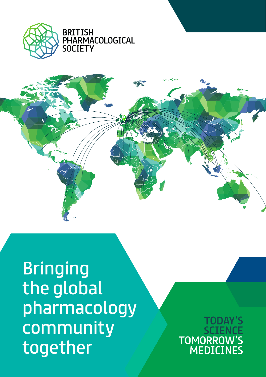

**BRITISH PHARMACOLOGICAL SOCIETY** 



**Bringing** the global pharmacology community together

**TOMORRO MEDICINES**